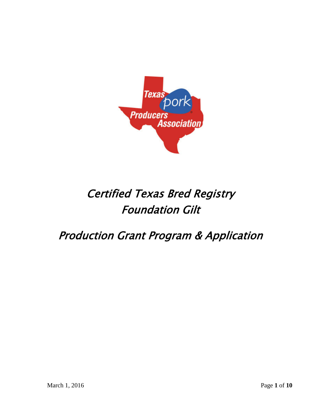

# Certified Texas Bred Registry Foundation Gilt

Production Grant Program & Application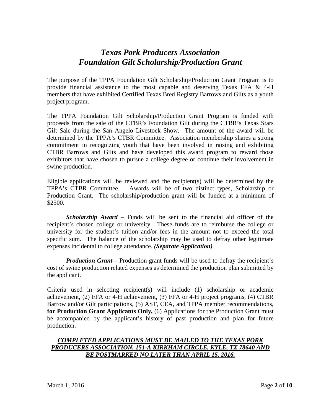## *Texas Pork Producers Association Foundation Gilt Scholarship/Production Grant*

The purpose of the TPPA Foundation Gilt Scholarship/Production Grant Program is to provide financial assistance to the most capable and deserving Texas FFA  $\&$  4-H members that have exhibited Certified Texas Bred Registry Barrows and Gilts as a youth project program.

The TPPA Foundation Gilt Scholarship/Production Grant Program is funded with proceeds from the sale of the CTBR's Foundation Gilt during the CTBR's Texas Stars Gilt Sale during the San Angelo Livestock Show. The amount of the award will be determined by the TPPA's CTBR Committee. Association membership shares a strong commitment in recognizing youth that have been involved in raising and exhibiting CTBR Barrows and Gilts and have developed this award program to reward those exhibitors that have chosen to pursue a college degree or continue their involvement in swine production.

Eligible applications will be reviewed and the recipient(s) will be determined by the TPPA's CTBR Committee. Awards will be of two distinct types, Scholarship or Production Grant. The scholarship/production grant will be funded at a minimum of \$2500.

*Scholarship Award –* Funds will be sent to the financial aid officer of the recipient's chosen college or university. These funds are to reimburse the college or university for the student's tuition and/or fees in the amount not to exceed the total specific sum. The balance of the scholarship may be used to defray other legitimate expenses incidental to college attendance. *(Separate Application)*

*Production Grant* – Production grant funds will be used to defray the recipient's cost of swine production related expenses as determined the production plan submitted by the applicant.

Criteria used in selecting recipient(s) will include (1) scholarship or academic achievement, (2) FFA or 4-H achievement, (3) FFA or 4-H project programs, (4) CTBR Barrow and/or Gilt participations, (5) AST, CEA, and TPPA member recommendations, **for Production Grant Applicants Only,** (6) Applications for the Production Grant must be accompanied by the applicant's history of past production and plan for future production.

#### *COMPLETED APPLICATIONS MUST BE MAILED TO THE TEXAS PORK PRODUCERS ASSOCIATION, 151-A KIRKHAM CIRCLE, KYLE, TX 78640 AND BE POSTMARKED NO LATER THAN APRIL 15, 2016.*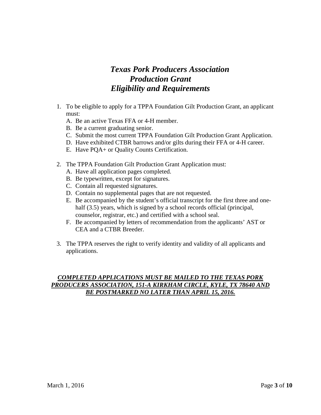## *Texas Pork Producers Association Production Grant Eligibility and Requirements*

- 1. To be eligible to apply for a TPPA Foundation Gilt Production Grant, an applicant must:
	- A. Be an active Texas FFA or 4-H member.
	- B. Be a current graduating senior.
	- C. Submit the most current TPPA Foundation Gilt Production Grant Application.
	- D. Have exhibited CTBR barrows and/or gilts during their FFA or 4-H career.
	- E. Have PQA+ or Quality Counts Certification.
- 2. The TPPA Foundation Gilt Production Grant Application must:
	- A. Have all application pages completed.
	- B. Be typewritten, except for signatures.
	- C. Contain all requested signatures.
	- D. Contain no supplemental pages that are not requested.
	- E. Be accompanied by the student's official transcript for the first three and onehalf (3.5) years, which is signed by a school records official (principal, counselor, registrar, etc.) and certified with a school seal.
	- F. Be accompanied by letters of recommendation from the applicants' AST or CEA and a CTBR Breeder.
- 3. The TPPA reserves the right to verify identity and validity of all applicants and applications.

#### *COMPLETED APPLICATIONS MUST BE MAILED TO THE TEXAS PORK PRODUCERS ASSOCIATION, 151-A KIRKHAM CIRCLE, KYLE, TX 78640 AND BE POSTMARKED NO LATER THAN APRIL 15, 2016.*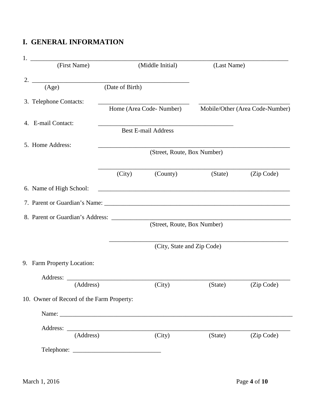## **I. GENERAL INFORMATION**

| 1. |                                           |                 |                             |             |                                 |
|----|-------------------------------------------|-----------------|-----------------------------|-------------|---------------------------------|
|    | (First Name)                              |                 | (Middle Initial)            | (Last Name) |                                 |
| 2. | (Age)                                     | (Date of Birth) |                             |             |                                 |
|    |                                           |                 |                             |             |                                 |
|    | 3. Telephone Contacts:                    |                 |                             |             |                                 |
|    |                                           |                 | Home (Area Code-Number)     |             | Mobile/Other (Area Code-Number) |
|    | 4. E-mail Contact:                        |                 |                             |             |                                 |
|    |                                           |                 | <b>Best E-mail Address</b>  |             |                                 |
|    | 5. Home Address:                          |                 |                             |             |                                 |
|    |                                           |                 | (Street, Route, Box Number) |             |                                 |
|    |                                           | (City)          | (County)                    | (State)     | (Zip Code)                      |
|    | 6. Name of High School:                   |                 |                             |             |                                 |
|    |                                           |                 |                             |             |                                 |
|    |                                           |                 |                             |             |                                 |
|    |                                           |                 | (Street, Route, Box Number) |             |                                 |
|    |                                           |                 | (City, State and Zip Code)  |             |                                 |
|    | 9. Farm Property Location:                |                 |                             |             |                                 |
|    | Address:                                  |                 |                             |             |                                 |
|    | (Address)                                 |                 | (City)                      | (State)     | (Zip Code)                      |
|    | 10. Owner of Record of the Farm Property: |                 |                             |             |                                 |
|    |                                           |                 |                             |             |                                 |
|    |                                           |                 |                             |             |                                 |
|    | (Address)                                 |                 | (City)                      | (State)     | (Zip Code)                      |
|    |                                           |                 |                             |             |                                 |
|    |                                           |                 |                             |             |                                 |
|    | March 1, 2016                             |                 |                             |             | Page 4 of 10                    |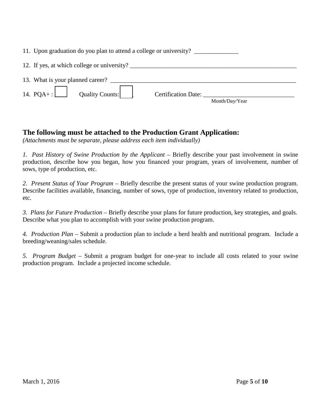| 11. Upon graduation do you plan to attend a college or university?                                                                    |                                       |
|---------------------------------------------------------------------------------------------------------------------------------------|---------------------------------------|
| 12. If yes, at which college or university?                                                                                           |                                       |
|                                                                                                                                       |                                       |
| 14. $PQA + :$ Quality Counts: $\begin{vmatrix} \cdot & \cdot & \cdot \\ \cdot & \cdot & \cdot \\ \cdot & \cdot & \cdot \end{vmatrix}$ | Certification Date:<br>Month/Day/Year |

### **The following must be attached to the Production Grant Application:**

*(Attachments must be separate, please address each item individually)*

*1. Past History of Swine Production by the Applicant* – Briefly describe your past involvement in swine production, describe how you began, how you financed your program, years of involvement, number of sows, type of production, etc.

*2. Present Status of Your Program –* Briefly describe the present status of your swine production program. Describe facilities available, financing, number of sows, type of production, inventory related to production, etc.

*3. Plans for Future Production –* Briefly describe your plans for future production, key strategies, and goals. Describe what you plan to accomplish with your swine production program.

*4. Production Plan –* Submit a production plan to include a herd health and nutritional program. Include a breeding/weaning/sales schedule.

*5. Program Budget –* Submit a program budget for one-year to include all costs related to your swine production program. Include a projected income schedule.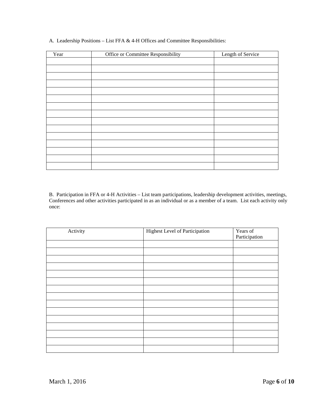| Year | Office or Committee Responsibility | Length of Service |
|------|------------------------------------|-------------------|
|      |                                    |                   |
|      |                                    |                   |
|      |                                    |                   |
|      |                                    |                   |
|      |                                    |                   |
|      |                                    |                   |
|      |                                    |                   |
|      |                                    |                   |
|      |                                    |                   |
|      |                                    |                   |
|      |                                    |                   |
|      |                                    |                   |
|      |                                    |                   |
|      |                                    |                   |
|      |                                    |                   |
|      |                                    |                   |

A. Leadership Positions – List FFA & 4-H Offices and Committee Responsibilities:

B. Participation in FFA or 4-H Activities – List team participations, leadership development activities, meetings, Conferences and other activities participated in as an individual or as a member of a team. List each activity only once:

| Activity | <b>Highest Level of Participation</b> | Years of<br>Participation |
|----------|---------------------------------------|---------------------------|
|          |                                       |                           |
|          |                                       |                           |
|          |                                       |                           |
|          |                                       |                           |
|          |                                       |                           |
|          |                                       |                           |
|          |                                       |                           |
|          |                                       |                           |
|          |                                       |                           |
|          |                                       |                           |
|          |                                       |                           |
|          |                                       |                           |
|          |                                       |                           |
|          |                                       |                           |
|          |                                       |                           |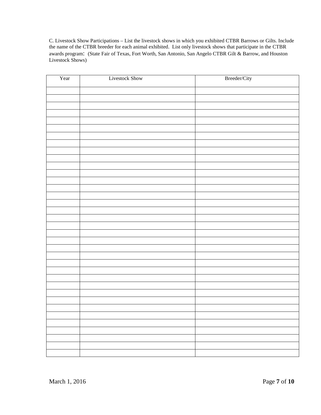C. Livestock Show Participations – List the livestock shows in which you exhibited CTBR Barrows or Gilts. Include the name of the CTBR breeder for each animal exhibited. List only livestock shows that participate in the CTBR awards program: (State Fair of Texas, Fort Worth, San Antonio, San Angelo CTBR Gilt & Barrow, and Houston Livestock Shows)

| Year | Livestock Show | Breeder/City |
|------|----------------|--------------|
|      |                |              |
|      |                |              |
|      |                |              |
|      |                |              |
|      |                |              |
|      |                |              |
|      |                |              |
|      |                |              |
|      |                |              |
|      |                |              |
|      |                |              |
|      |                |              |
|      |                |              |
|      |                |              |
|      |                |              |
|      |                |              |
|      |                |              |
|      |                |              |
|      |                |              |
|      |                |              |
|      |                |              |
|      |                |              |
|      |                |              |
|      |                |              |
|      |                |              |
|      |                |              |
|      |                |              |
|      |                |              |
|      |                |              |
|      |                |              |
|      |                |              |
|      |                |              |
|      |                |              |
|      |                |              |
|      |                |              |
|      |                |              |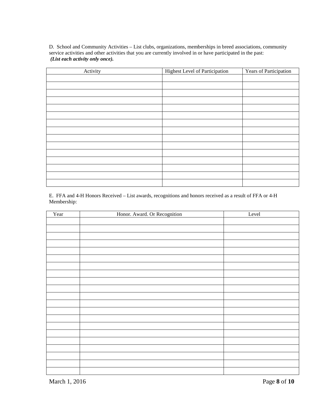D. School and Community Activities – List clubs, organizations, memberships in breed associations, community service activities and other activities that you are currently involved in or have participated in the past: *(List each activity only once).*

| Activity | <b>Highest Level of Participation</b> | Years of Participation |
|----------|---------------------------------------|------------------------|
|          |                                       |                        |
|          |                                       |                        |
|          |                                       |                        |
|          |                                       |                        |
|          |                                       |                        |
|          |                                       |                        |
|          |                                       |                        |
|          |                                       |                        |
|          |                                       |                        |
|          |                                       |                        |
|          |                                       |                        |
|          |                                       |                        |
|          |                                       |                        |
|          |                                       |                        |
|          |                                       |                        |

E. FFA and 4-H Honors Received – List awards, recognitions and honors received as a result of FFA or 4-H Membership:

| Year | Honor. Award. Or Recognition | Level |
|------|------------------------------|-------|
|      |                              |       |
|      |                              |       |
|      |                              |       |
|      |                              |       |
|      |                              |       |
|      |                              |       |
|      |                              |       |
|      |                              |       |
|      |                              |       |
|      |                              |       |
|      |                              |       |
|      |                              |       |
|      |                              |       |
|      |                              |       |
|      |                              |       |
|      |                              |       |
|      |                              |       |
|      |                              |       |
|      |                              |       |
|      |                              |       |
|      |                              |       |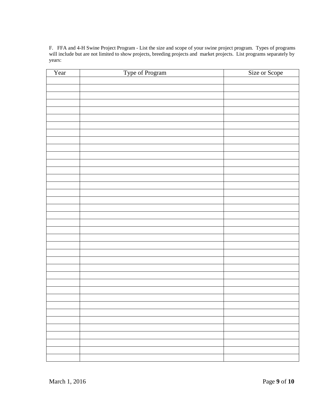F. FFA and 4-H Swine Project Program - List the size and scope of your swine project program. Types of programs will include but are not limited to show projects, breeding projects and market projects. List programs separately by years:

| Year | Type of Program | Size or Scope |
|------|-----------------|---------------|
|      |                 |               |
|      |                 |               |
|      |                 |               |
|      |                 |               |
|      |                 |               |
|      |                 |               |
|      |                 |               |
|      |                 |               |
|      |                 |               |
|      |                 |               |
|      |                 |               |
|      |                 |               |
|      |                 |               |
|      |                 |               |
|      |                 |               |
|      |                 |               |
|      |                 |               |
|      |                 |               |
|      |                 |               |
|      |                 |               |
|      |                 |               |
|      |                 |               |
|      |                 |               |
|      |                 |               |
|      |                 |               |
|      |                 |               |
|      |                 |               |
|      |                 |               |
|      |                 |               |
|      |                 |               |
|      |                 |               |
|      |                 |               |
|      |                 |               |
|      |                 |               |
|      |                 |               |
|      |                 |               |
|      |                 |               |
|      |                 |               |